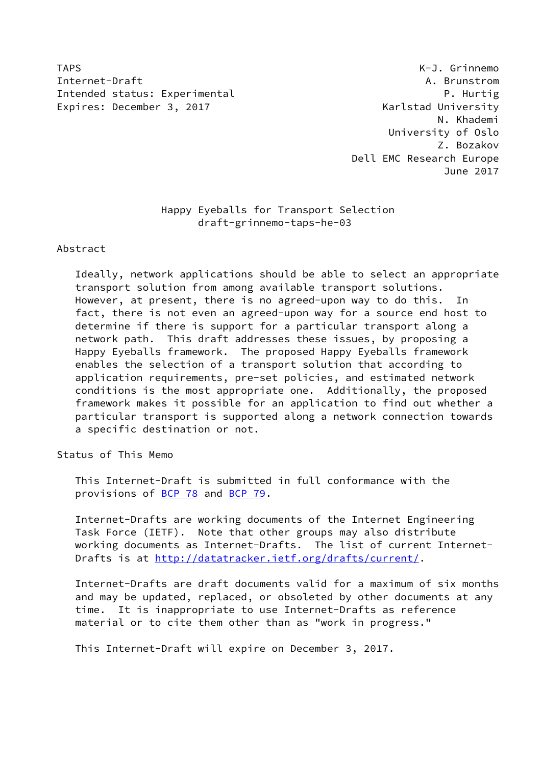TAPS K-J. Grinnemo Internet-Draft A. Brunstrom Intended status: Experimental P. Hurtig Expires: December 3, 2017 The Contract Contract Contract Contract Contract Contract Contract Contract Contract Contract Contract Contract Contract Contract Contract Contract Contract Contract Contract Contract Contract Con

 N. Khademi University of Oslo Z. Bozakov Dell EMC Research Europe June 2017

# Happy Eyeballs for Transport Selection draft-grinnemo-taps-he-03

Abstract

 Ideally, network applications should be able to select an appropriate transport solution from among available transport solutions. However, at present, there is no agreed-upon way to do this. In fact, there is not even an agreed-upon way for a source end host to determine if there is support for a particular transport along a network path. This draft addresses these issues, by proposing a Happy Eyeballs framework. The proposed Happy Eyeballs framework enables the selection of a transport solution that according to application requirements, pre-set policies, and estimated network conditions is the most appropriate one. Additionally, the proposed framework makes it possible for an application to find out whether a particular transport is supported along a network connection towards a specific destination or not.

Status of This Memo

 This Internet-Draft is submitted in full conformance with the provisions of [BCP 78](https://datatracker.ietf.org/doc/pdf/bcp78) and [BCP 79](https://datatracker.ietf.org/doc/pdf/bcp79).

 Internet-Drafts are working documents of the Internet Engineering Task Force (IETF). Note that other groups may also distribute working documents as Internet-Drafts. The list of current Internet- Drafts is at<http://datatracker.ietf.org/drafts/current/>.

 Internet-Drafts are draft documents valid for a maximum of six months and may be updated, replaced, or obsoleted by other documents at any time. It is inappropriate to use Internet-Drafts as reference material or to cite them other than as "work in progress."

This Internet-Draft will expire on December 3, 2017.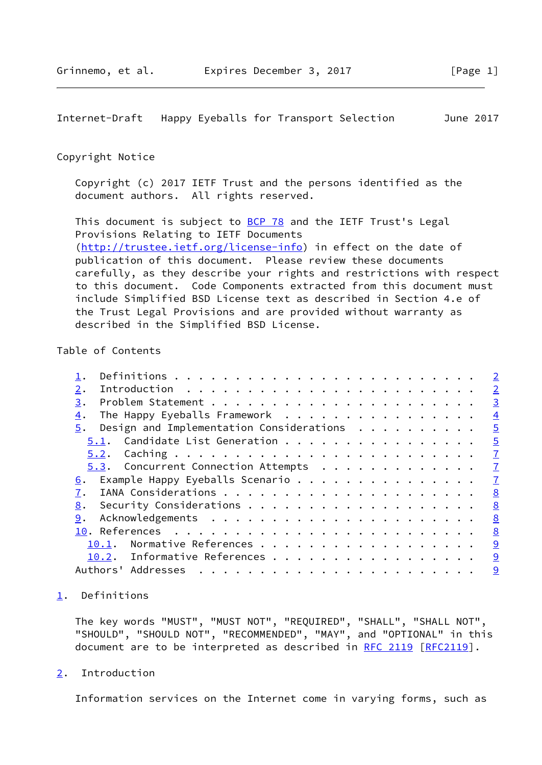<span id="page-1-1"></span>Internet-Draft Happy Eyeballs for Transport Selection June 2017

### Copyright Notice

 Copyright (c) 2017 IETF Trust and the persons identified as the document authors. All rights reserved.

This document is subject to **[BCP 78](https://datatracker.ietf.org/doc/pdf/bcp78)** and the IETF Trust's Legal Provisions Relating to IETF Documents [\(http://trustee.ietf.org/license-info](http://trustee.ietf.org/license-info)) in effect on the date of publication of this document. Please review these documents carefully, as they describe your rights and restrictions with respect to this document. Code Components extracted from this document must include Simplified BSD License text as described in Section 4.e of the Trust Legal Provisions and are provided without warranty as described in the Simplified BSD License.

# Table of Contents

|                                                | $\overline{2}$ |
|------------------------------------------------|----------------|
| 2.                                             | $\overline{2}$ |
| 3.                                             | $\overline{3}$ |
| The Happy Eyeballs Framework<br>4.             | $\overline{4}$ |
| Design and Implementation Considerations<br>5. | $\overline{5}$ |
| 5.1. Candidate List Generation                 | $\overline{5}$ |
|                                                | $\overline{1}$ |
| 5.3. Concurrent Connection Attempts            | $\overline{1}$ |
|                                                | $\overline{1}$ |
|                                                | 8              |
| 8.                                             | 8              |
| 9.                                             | 8              |
|                                                | 8              |
| 10.1. Normative References                     | 9              |
| 10.2. Informative References                   | 9              |
|                                                | 9              |

# <span id="page-1-0"></span>[1](#page-1-0). Definitions

 The key words "MUST", "MUST NOT", "REQUIRED", "SHALL", "SHALL NOT", "SHOULD", "SHOULD NOT", "RECOMMENDED", "MAY", and "OPTIONAL" in this document are to be interpreted as described in [RFC 2119 \[RFC2119](https://datatracker.ietf.org/doc/pdf/rfc2119)].

<span id="page-1-2"></span>[2](#page-1-2). Introduction

Information services on the Internet come in varying forms, such as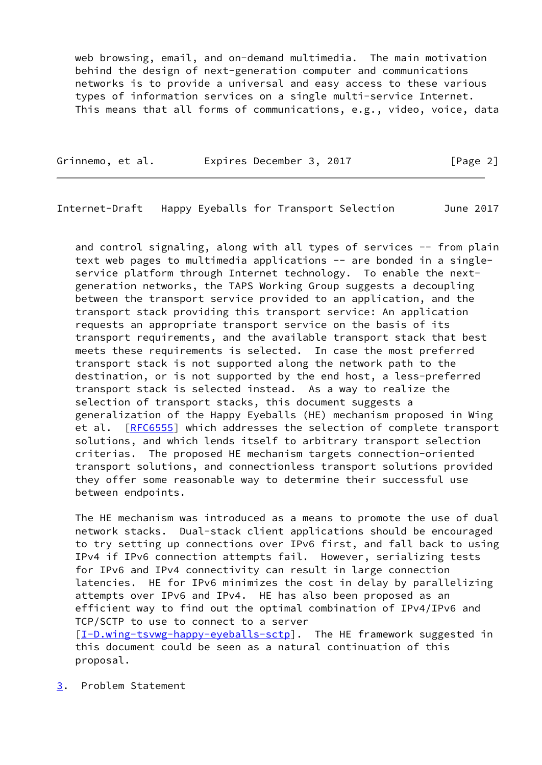web browsing, email, and on-demand multimedia. The main motivation behind the design of next-generation computer and communications networks is to provide a universal and easy access to these various types of information services on a single multi-service Internet. This means that all forms of communications, e.g., video, voice, data

Grinnemo, et al. Expires December 3, 2017 [Page 2]

<span id="page-2-1"></span>Internet-Draft Happy Eyeballs for Transport Selection June 2017

 and control signaling, along with all types of services -- from plain text web pages to multimedia applications -- are bonded in a single service platform through Internet technology. To enable the next generation networks, the TAPS Working Group suggests a decoupling between the transport service provided to an application, and the transport stack providing this transport service: An application requests an appropriate transport service on the basis of its transport requirements, and the available transport stack that best meets these requirements is selected. In case the most preferred transport stack is not supported along the network path to the destination, or is not supported by the end host, a less-preferred transport stack is selected instead. As a way to realize the selection of transport stacks, this document suggests a generalization of the Happy Eyeballs (HE) mechanism proposed in Wing et al. [\[RFC6555](https://datatracker.ietf.org/doc/pdf/rfc6555)] which addresses the selection of complete transport solutions, and which lends itself to arbitrary transport selection criterias. The proposed HE mechanism targets connection-oriented transport solutions, and connectionless transport solutions provided they offer some reasonable way to determine their successful use between endpoints.

 The HE mechanism was introduced as a means to promote the use of dual network stacks. Dual-stack client applications should be encouraged to try setting up connections over IPv6 first, and fall back to using IPv4 if IPv6 connection attempts fail. However, serializing tests for IPv6 and IPv4 connectivity can result in large connection latencies. HE for IPv6 minimizes the cost in delay by parallelizing attempts over IPv6 and IPv4. HE has also been proposed as an efficient way to find out the optimal combination of IPv4/IPv6 and TCP/SCTP to use to connect to a server [\[I-D.wing-tsvwg-happy-eyeballs-sctp\]](#page-9-3). The HE framework suggested in this document could be seen as a natural continuation of this proposal.

<span id="page-2-0"></span>[3](#page-2-0). Problem Statement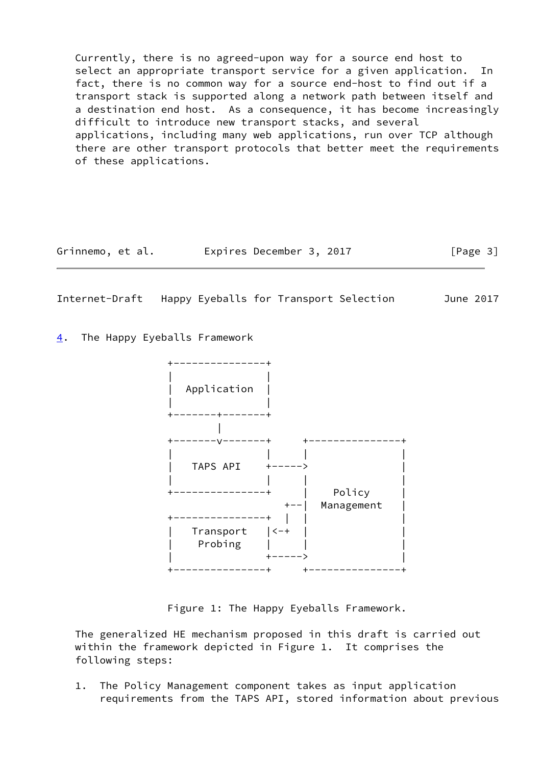Currently, there is no agreed-upon way for a source end host to select an appropriate transport service for a given application. In fact, there is no common way for a source end-host to find out if a transport stack is supported along a network path between itself and a destination end host. As a consequence, it has become increasingly difficult to introduce new transport stacks, and several applications, including many web applications, run over TCP although there are other transport protocols that better meet the requirements of these applications.

Grinnemo, et al. Expires December 3, 2017 [Page 3]

<span id="page-3-1"></span>Internet-Draft Happy Eyeballs for Transport Selection June 2017

<span id="page-3-0"></span>[4](#page-3-0). The Happy Eyeballs Framework



Figure 1: The Happy Eyeballs Framework.

 The generalized HE mechanism proposed in this draft is carried out within the framework depicted in Figure 1. It comprises the following steps:

 1. The Policy Management component takes as input application requirements from the TAPS API, stored information about previous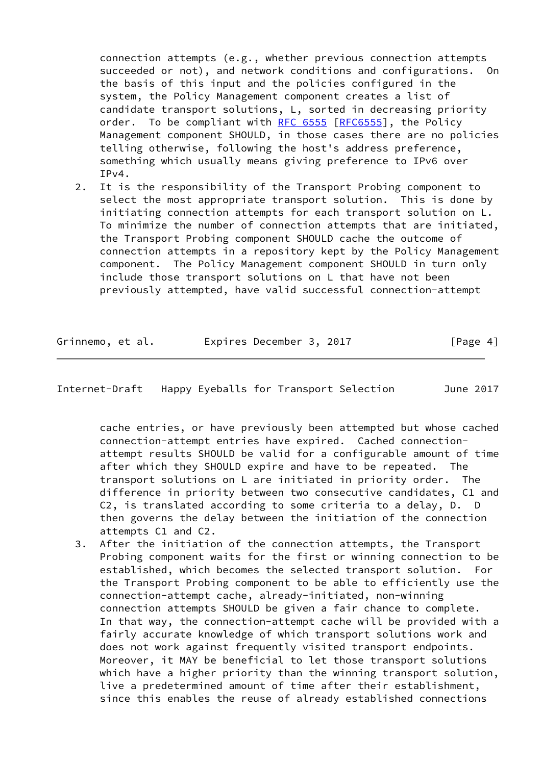connection attempts (e.g., whether previous connection attempts succeeded or not), and network conditions and configurations. On the basis of this input and the policies configured in the system, the Policy Management component creates a list of candidate transport solutions, L, sorted in decreasing priority order. To be compliant with [RFC 6555](https://datatracker.ietf.org/doc/pdf/rfc6555) [[RFC6555](https://datatracker.ietf.org/doc/pdf/rfc6555)], the Policy Management component SHOULD, in those cases there are no policies telling otherwise, following the host's address preference, something which usually means giving preference to IPv6 over  $IPv4.$ 

 2. It is the responsibility of the Transport Probing component to select the most appropriate transport solution. This is done by initiating connection attempts for each transport solution on L. To minimize the number of connection attempts that are initiated, the Transport Probing component SHOULD cache the outcome of connection attempts in a repository kept by the Policy Management component. The Policy Management component SHOULD in turn only include those transport solutions on L that have not been previously attempted, have valid successful connection-attempt

| Grinnemo, et al. | Expires December 3, 2017 |  | [Page 4] |
|------------------|--------------------------|--|----------|
|------------------|--------------------------|--|----------|

<span id="page-4-0"></span>Internet-Draft Happy Eyeballs for Transport Selection June 2017

 cache entries, or have previously been attempted but whose cached connection-attempt entries have expired. Cached connection attempt results SHOULD be valid for a configurable amount of time after which they SHOULD expire and have to be repeated. The transport solutions on L are initiated in priority order. The difference in priority between two consecutive candidates, C1 and C2, is translated according to some criteria to a delay, D. D then governs the delay between the initiation of the connection attempts C1 and C2.

 3. After the initiation of the connection attempts, the Transport Probing component waits for the first or winning connection to be established, which becomes the selected transport solution. For the Transport Probing component to be able to efficiently use the connection-attempt cache, already-initiated, non-winning connection attempts SHOULD be given a fair chance to complete. In that way, the connection-attempt cache will be provided with a fairly accurate knowledge of which transport solutions work and does not work against frequently visited transport endpoints. Moreover, it MAY be beneficial to let those transport solutions which have a higher priority than the winning transport solution, live a predetermined amount of time after their establishment, since this enables the reuse of already established connections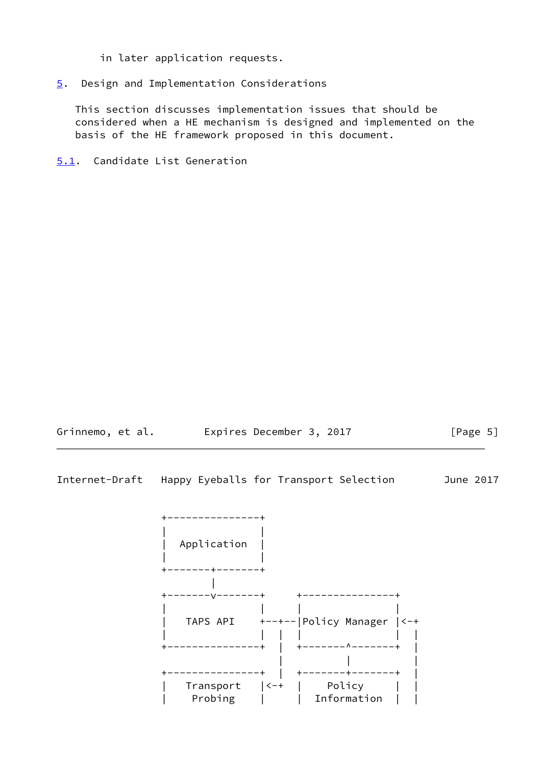in later application requests.

# <span id="page-5-0"></span>[5](#page-5-0). Design and Implementation Considerations

 This section discusses implementation issues that should be considered when a HE mechanism is designed and implemented on the basis of the HE framework proposed in this document.

<span id="page-5-1"></span>[5.1](#page-5-1). Candidate List Generation



Internet-Draft Happy Eyeballs for Transport Selection June 2017

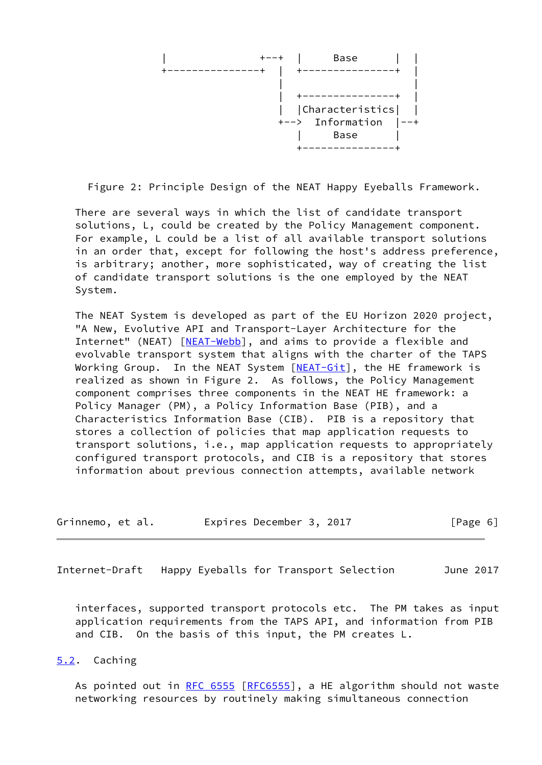

Figure 2: Principle Design of the NEAT Happy Eyeballs Framework.

 There are several ways in which the list of candidate transport solutions, L, could be created by the Policy Management component. For example, L could be a list of all available transport solutions in an order that, except for following the host's address preference, is arbitrary; another, more sophisticated, way of creating the list of candidate transport solutions is the one employed by the NEAT System.

 The NEAT System is developed as part of the EU Horizon 2020 project, "A New, Evolutive API and Transport-Layer Architecture for the Internet" (NEAT) [\[NEAT-Webb\]](#page-9-4), and aims to provide a flexible and evolvable transport system that aligns with the charter of the TAPS Working Group. In the NEAT System [[NEAT-Git\]](#page-9-5), the HE framework is realized as shown in Figure 2. As follows, the Policy Management component comprises three components in the NEAT HE framework: a Policy Manager (PM), a Policy Information Base (PIB), and a Characteristics Information Base (CIB). PIB is a repository that stores a collection of policies that map application requests to transport solutions, i.e., map application requests to appropriately configured transport protocols, and CIB is a repository that stores information about previous connection attempts, available network

| Grinnemo, et al. | Expires December 3, 2017 |  | [Page 6] |
|------------------|--------------------------|--|----------|
|------------------|--------------------------|--|----------|

<span id="page-6-1"></span>Internet-Draft Happy Eyeballs for Transport Selection June 2017

 interfaces, supported transport protocols etc. The PM takes as input application requirements from the TAPS API, and information from PIB and CIB. On the basis of this input, the PM creates L.

# <span id="page-6-0"></span>[5.2](#page-6-0). Caching

As pointed out in [RFC 6555](https://datatracker.ietf.org/doc/pdf/rfc6555) [[RFC6555\]](https://datatracker.ietf.org/doc/pdf/rfc6555), a HE algorithm should not waste networking resources by routinely making simultaneous connection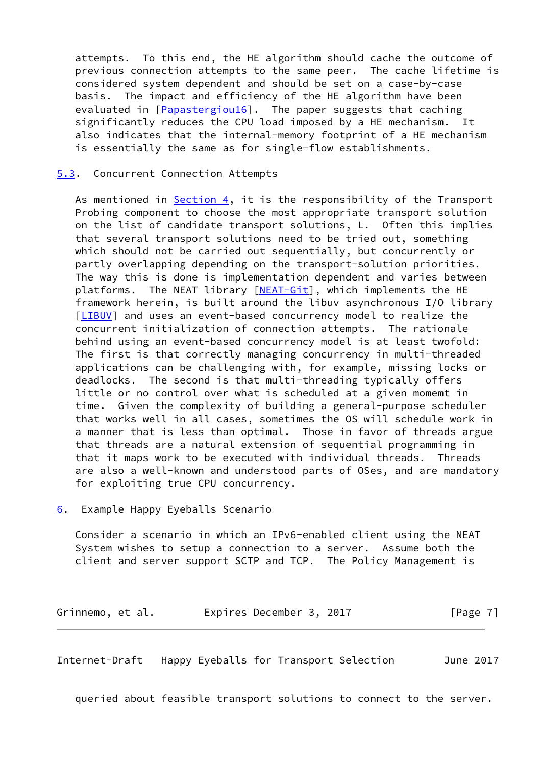attempts. To this end, the HE algorithm should cache the outcome of previous connection attempts to the same peer. The cache lifetime is considered system dependent and should be set on a case-by-case basis. The impact and efficiency of the HE algorithm have been evaluated in [\[Papastergiou16](#page-9-6)]. The paper suggests that caching significantly reduces the CPU load imposed by a HE mechanism. It also indicates that the internal-memory footprint of a HE mechanism is essentially the same as for single-flow establishments.

### <span id="page-7-0"></span>[5.3](#page-7-0). Concurrent Connection Attempts

As mentioned in  $Section 4$ , it is the responsibility of the Transport Probing component to choose the most appropriate transport solution on the list of candidate transport solutions, L. Often this implies that several transport solutions need to be tried out, something which should not be carried out sequentially, but concurrently or partly overlapping depending on the transport-solution priorities. The way this is done is implementation dependent and varies between platforms. The NEAT library [\[NEAT-Git](#page-9-5)], which implements the HE framework herein, is built around the libuv asynchronous I/O library [\[LIBUV](#page-9-7)] and uses an event-based concurrency model to realize the concurrent initialization of connection attempts. The rationale behind using an event-based concurrency model is at least twofold: The first is that correctly managing concurrency in multi-threaded applications can be challenging with, for example, missing locks or deadlocks. The second is that multi-threading typically offers little or no control over what is scheduled at a given momemt in time. Given the complexity of building a general-purpose scheduler that works well in all cases, sometimes the OS will schedule work in a manner that is less than optimal. Those in favor of threads argue that threads are a natural extension of sequential programming in that it maps work to be executed with individual threads. Threads are also a well-known and understood parts of OSes, and are mandatory for exploiting true CPU concurrency.

#### <span id="page-7-1"></span>[6](#page-7-1). Example Happy Eyeballs Scenario

 Consider a scenario in which an IPv6-enabled client using the NEAT System wishes to setup a connection to a server. Assume both the client and server support SCTP and TCP. The Policy Management is

Grinnemo, et al. 
Expires December 3, 2017
[Page 7]

<span id="page-7-2"></span>Internet-Draft Happy Eyeballs for Transport Selection June 2017

queried about feasible transport solutions to connect to the server.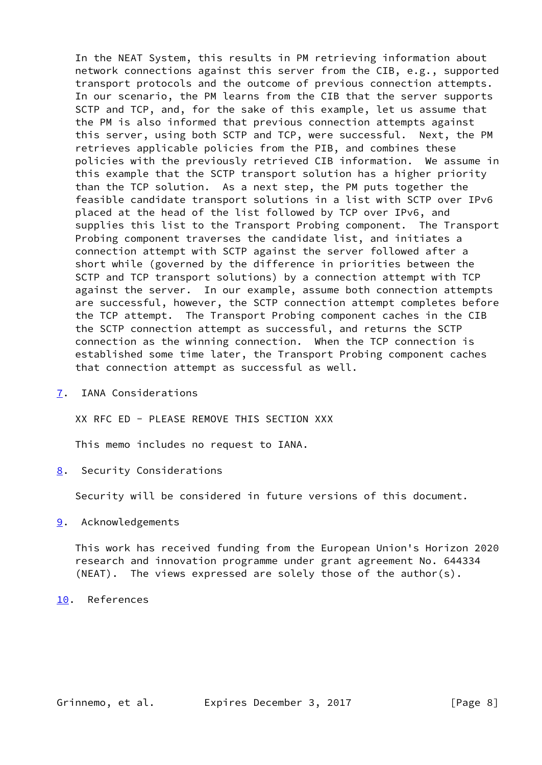In the NEAT System, this results in PM retrieving information about network connections against this server from the CIB, e.g., supported transport protocols and the outcome of previous connection attempts. In our scenario, the PM learns from the CIB that the server supports SCTP and TCP, and, for the sake of this example, let us assume that the PM is also informed that previous connection attempts against this server, using both SCTP and TCP, were successful. Next, the PM retrieves applicable policies from the PIB, and combines these policies with the previously retrieved CIB information. We assume in this example that the SCTP transport solution has a higher priority than the TCP solution. As a next step, the PM puts together the feasible candidate transport solutions in a list with SCTP over IPv6 placed at the head of the list followed by TCP over IPv6, and supplies this list to the Transport Probing component. The Transport Probing component traverses the candidate list, and initiates a connection attempt with SCTP against the server followed after a short while (governed by the difference in priorities between the SCTP and TCP transport solutions) by a connection attempt with TCP against the server. In our example, assume both connection attempts are successful, however, the SCTP connection attempt completes before the TCP attempt. The Transport Probing component caches in the CIB the SCTP connection attempt as successful, and returns the SCTP connection as the winning connection. When the TCP connection is established some time later, the Transport Probing component caches that connection attempt as successful as well.

<span id="page-8-0"></span>[7](#page-8-0). IANA Considerations

XX RFC ED - PLEASE REMOVE THIS SECTION XXX

This memo includes no request to IANA.

<span id="page-8-1"></span>[8](#page-8-1). Security Considerations

Security will be considered in future versions of this document.

### <span id="page-8-2"></span>[9](#page-8-2). Acknowledgements

 This work has received funding from the European Union's Horizon 2020 research and innovation programme under grant agreement No. 644334 (NEAT). The views expressed are solely those of the author(s).

<span id="page-8-3"></span>[10.](#page-8-3) References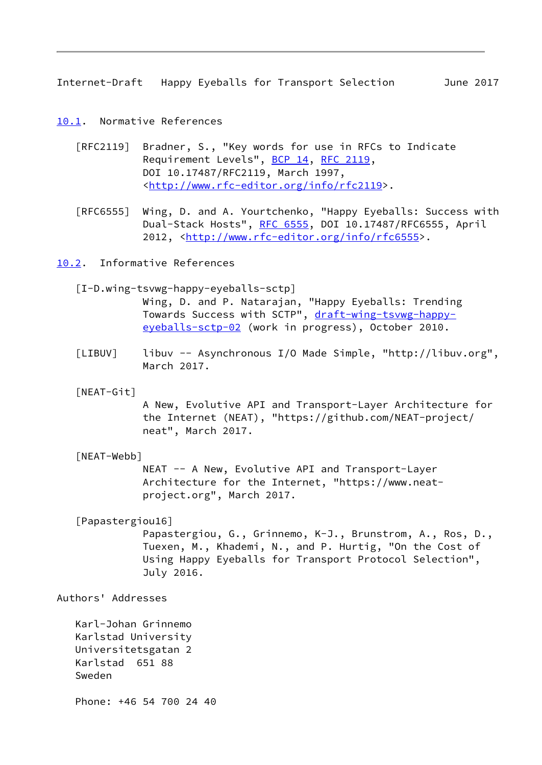<span id="page-9-1"></span>Internet-Draft Happy Eyeballs for Transport Selection June 2017

<span id="page-9-0"></span>[10.1](#page-9-0). Normative References

- [RFC2119] Bradner, S., "Key words for use in RFCs to Indicate Requirement Levels", [BCP 14](https://datatracker.ietf.org/doc/pdf/bcp14), [RFC 2119](https://datatracker.ietf.org/doc/pdf/rfc2119), DOI 10.17487/RFC2119, March 1997, <<http://www.rfc-editor.org/info/rfc2119>>.
- [RFC6555] Wing, D. and A. Yourtchenko, "Happy Eyeballs: Success with Dual-Stack Hosts", [RFC 6555](https://datatracker.ietf.org/doc/pdf/rfc6555), DOI 10.17487/RFC6555, April 2012, [<http://www.rfc-editor.org/info/rfc6555](http://www.rfc-editor.org/info/rfc6555)>.

<span id="page-9-2"></span>[10.2](#page-9-2). Informative References

<span id="page-9-3"></span>[I-D.wing-tsvwg-happy-eyeballs-sctp]

 Wing, D. and P. Natarajan, "Happy Eyeballs: Trending Towards Success with SCTP", [draft-wing-tsvwg-happy](https://datatracker.ietf.org/doc/pdf/draft-wing-tsvwg-happy-eyeballs-sctp-02) [eyeballs-sctp-02](https://datatracker.ietf.org/doc/pdf/draft-wing-tsvwg-happy-eyeballs-sctp-02) (work in progress), October 2010.

- <span id="page-9-7"></span> [LIBUV] libuv -- Asynchronous I/O Made Simple, "http://libuv.org", March 2017.
- <span id="page-9-5"></span>[NEAT-Git]

 A New, Evolutive API and Transport-Layer Architecture for the Internet (NEAT), "https://github.com/NEAT-project/ neat", March 2017.

<span id="page-9-4"></span>[NEAT-Webb]

 NEAT -- A New, Evolutive API and Transport-Layer Architecture for the Internet, "https://www.neat project.org", March 2017.

<span id="page-9-6"></span>[Papastergiou16]

 Papastergiou, G., Grinnemo, K-J., Brunstrom, A., Ros, D., Tuexen, M., Khademi, N., and P. Hurtig, "On the Cost of Using Happy Eyeballs for Transport Protocol Selection", July 2016.

Authors' Addresses

 Karl-Johan Grinnemo Karlstad University Universitetsgatan 2 Karlstad 651 88 Sweden

Phone: +46 54 700 24 40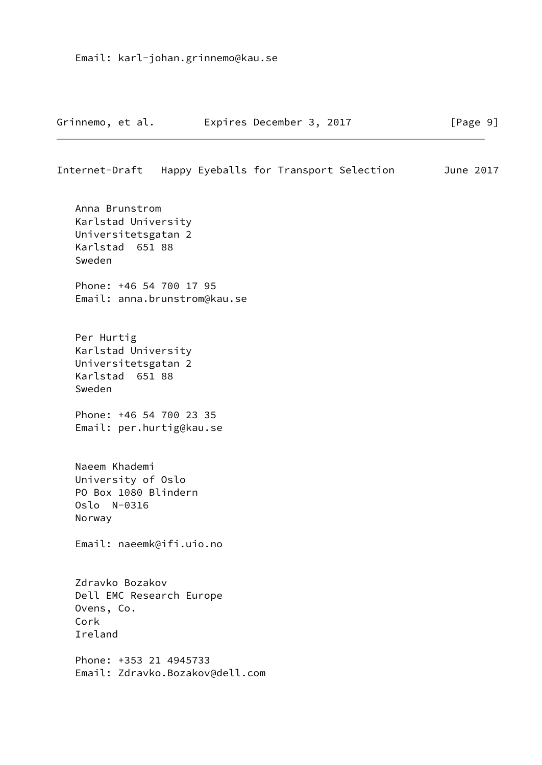|  | Grinnemo, et al. | Expires December 3, 2017 | [Page 9] |
|--|------------------|--------------------------|----------|
|--|------------------|--------------------------|----------|

### Internet-Draft Happy Eyeballs for Transport Selection June 2017

 Anna Brunstrom Karlstad University Universitetsgatan 2 Karlstad 651 88 Sweden Phone: +46 54 700 17 95 Email: anna.brunstrom@kau.se Per Hurtig Karlstad University Universitetsgatan 2 Karlstad 651 88 Sweden Phone: +46 54 700 23 35 Email: per.hurtig@kau.se Naeem Khademi University of Oslo PO Box 1080 Blindern Oslo N-0316 Norway Email: naeemk@ifi.uio.no Zdravko Bozakov Dell EMC Research Europe Ovens, Co. Cork Ireland Phone: +353 21 4945733 Email: Zdravko.Bozakov@dell.com